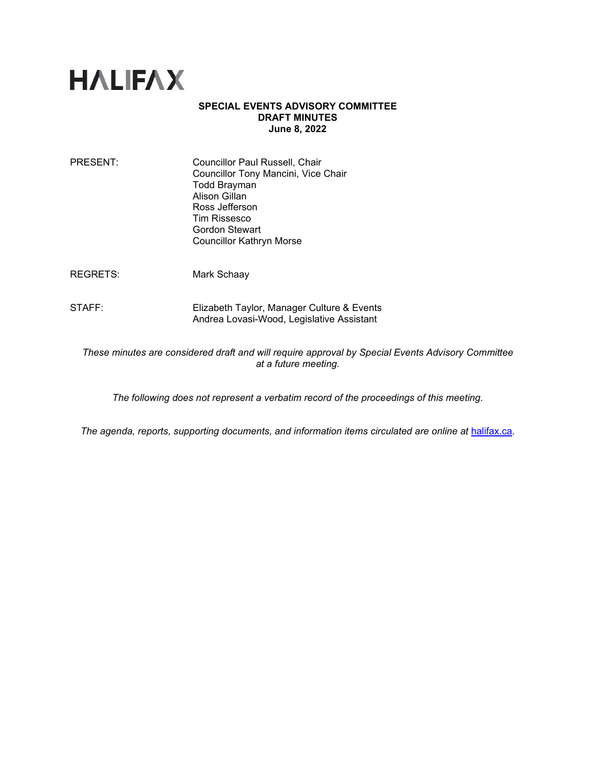

## **SPECIAL EVENTS ADVISORY COMMITTEE DRAFT MINUTES June 8, 2022**

| PRESENT: | Councillor Paul Russell, Chair<br>Councillor Tony Mancini, Vice Chair<br><b>Todd Brayman</b> |
|----------|----------------------------------------------------------------------------------------------|
|          | Alison Gillan                                                                                |
|          | Ross Jefferson                                                                               |
|          | Tim Rissesco                                                                                 |
|          | Gordon Stewart                                                                               |
|          | <b>Councillor Kathryn Morse</b>                                                              |
|          |                                                                                              |

REGRETS: Mark Schaay

STAFF: Elizabeth Taylor, Manager Culture & Events Andrea Lovasi-Wood, Legislative Assistant

*These minutes are considered draft and will require approval by Special Events Advisory Committee at a future meeting.* 

*The following does not represent a verbatim record of the proceedings of this meeting.*

*The agenda, reports, supporting documents, and information items circulated are online at [halifax.ca](http://www.halifax.ca/).*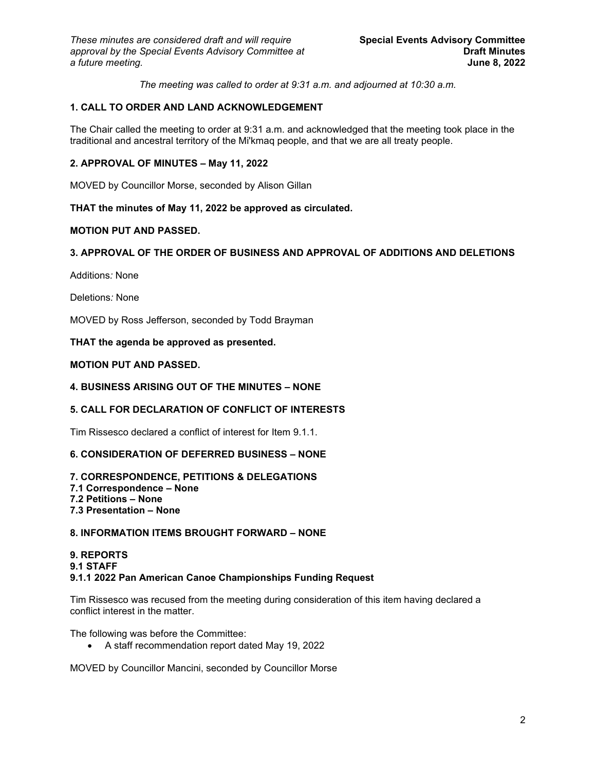*The meeting was called to order at 9:31 a.m. and adjourned at 10:30 a.m.*

# **1. CALL TO ORDER AND LAND ACKNOWLEDGEMENT**

The Chair called the meeting to order at 9:31 a.m. and acknowledged that the meeting took place in the traditional and ancestral territory of the Mi'kmaq people, and that we are all treaty people.

## **2. APPROVAL OF MINUTES – May 11, 2022**

MOVED by Councillor Morse, seconded by Alison Gillan

## **THAT the minutes of May 11, 2022 be approved as circulated.**

## **MOTION PUT AND PASSED.**

# **3. APPROVAL OF THE ORDER OF BUSINESS AND APPROVAL OF ADDITIONS AND DELETIONS**

Additions*:* None

Deletions*:* None

MOVED by Ross Jefferson, seconded by Todd Brayman

**THAT the agenda be approved as presented.** 

## **MOTION PUT AND PASSED.**

#### **4. BUSINESS ARISING OUT OF THE MINUTES – NONE**

## **5. CALL FOR DECLARATION OF CONFLICT OF INTERESTS**

Tim Rissesco declared a conflict of interest for Item 9.1.1.

## **6. CONSIDERATION OF DEFERRED BUSINESS – NONE**

## **7. CORRESPONDENCE, PETITIONS & DELEGATIONS**

- **7.1 Correspondence None**
- **7.2 Petitions None**
- **7.3 Presentation None**

#### **8. INFORMATION ITEMS BROUGHT FORWARD – NONE**

## **9. REPORTS 9.1 STAFF 9.1.1 2022 Pan American Canoe Championships Funding Request**

Tim Rissesco was recused from the meeting during consideration of this item having declared a conflict interest in the matter.

The following was before the Committee:

• A staff recommendation report dated May 19, 2022

MOVED by Councillor Mancini, seconded by Councillor Morse